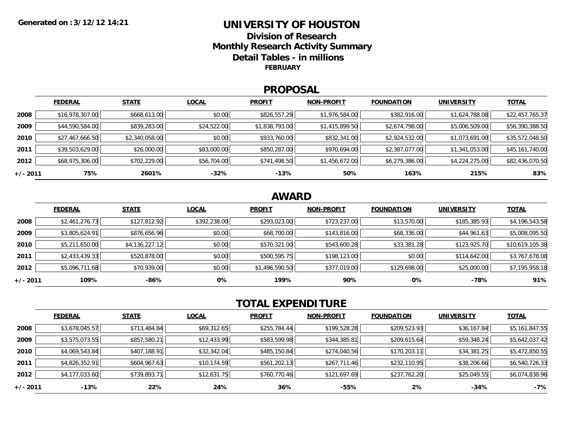## **UNIVERSITY OF HOUSTONDivision of ResearchMonthly Research Activity Summary Detail Tables - in millions FEBRUARY**

### **PROPOSAL**

|            | <b>FEDERAL</b>  | <b>STATE</b>   | <b>LOCAL</b> | <b>PROFIT</b>  | <b>NON-PROFIT</b> | <b>FOUNDATION</b> | UNIVERSITY     | <u>TOTAL</u>    |
|------------|-----------------|----------------|--------------|----------------|-------------------|-------------------|----------------|-----------------|
| 2008       | \$16,978,307.00 | \$668,613.00   | \$0.00       | \$826,557.29   | \$1,976,584.00    | \$382,916.00      | \$1,624,788.08 | \$22,457,765.37 |
| 2009       | \$44,590,584.00 | \$839,283.00   | \$24,522.00  | \$1,838,793.00 | \$1,415,899.50    | \$2,674,798.00    | \$5,006,509.00 | \$56,390,388.50 |
| 2010       | \$27,467,666.50 | \$2,340,058.00 | \$0.00       | \$933,760.00   | \$832,341.00      | \$2,924,532.00    | \$1,073,691.00 | \$35,572,048.50 |
| 2011       | \$39,503,629.00 | \$26,000.00    | \$83,000.00  | \$850,287.00   | \$970,694.00      | \$2,387,077.00    | \$1,341,053.00 | \$45,161,740.00 |
| 2012       | \$68,975,306.00 | \$702,229.00   | \$56,704.00  | \$741,498.50   | \$1,456,672.00    | \$6,279,386.00    | \$4,224,275.00 | \$82,436,070.50 |
| $+/- 2011$ | 75%             | 2601%          | $-32%$       | $-13%$         | 50%               | 163%              | 215%           | 83%             |

# **AWARD**

|          | <b>FEDERAL</b> | <b>STATE</b>   | <b>LOCAL</b> | <b>PROFIT</b>  | <b>NON-PROFIT</b> | <b>FOUNDATION</b> | <b>UNIVERSITY</b> | <b>TOTAL</b>    |
|----------|----------------|----------------|--------------|----------------|-------------------|-------------------|-------------------|-----------------|
| 2008     | \$2,461,276.73 | \$127,812.92   | \$392,238.00 | \$293,023.00   | \$723,237.00      | \$13,570.00       | \$185,385.93      | \$4,196,543.58  |
| 2009     | \$3,805,624.91 | \$876,656.96   | \$0.00       | \$68,700.00    | \$143,816.00      | \$68,336.00       | \$44,961.63       | \$5,008,095.50  |
| 2010     | \$5,211,650.00 | \$4,136,227.12 | \$0.00       | \$570,321.00   | \$543,600.28      | \$33,381.28       | \$123,925.70      | \$10,619,105.38 |
| 2011     | \$2,433,439.33 | \$520,878.00   | \$0.00       | \$500,595.75   | \$198,123.00      | \$0.00            | \$114,642.00      | \$3,767,678.08  |
| 2012     | \$5,096,711.68 | \$70,939.00    | \$0.00       | \$1,496,590.50 | \$377,019.00      | \$129,698.00      | \$25,000.00       | \$7,195,958.18  |
| +/- 2011 | 109%           | $-86%$         | 0%           | 199%           | 90%               | 0%                | -78%              | 91%             |

# **TOTAL EXPENDITURE**

|          | <b>FEDERAL</b> | <b>STATE</b> | <b>LOCAL</b> | <b>PROFIT</b> | <b>NON-PROFIT</b> | <b>FOUNDATION</b> | <b>UNIVERSITY</b> | <b>TOTAL</b>   |
|----------|----------------|--------------|--------------|---------------|-------------------|-------------------|-------------------|----------------|
| 2008     | \$3,678,045.57 | \$713,484.84 | \$69,312.65  | \$255,784.44  | \$199,528.28      | \$209,523.93      | \$36,167.84       | \$5,161,847.55 |
| 2009     | \$3,575,073.55 | \$857,580.21 | \$12,433.99  | \$583,599.98  | \$344,385.81      | \$209,615.64      | \$59,348.24       | \$5,642,037.42 |
| 2010     | \$4,069,543.84 | \$407,188.91 | \$32,342.04  | \$485,150.84  | \$274,040.56      | \$170,203.11      | \$34,381.25       | \$5,472,850.55 |
| 2011     | \$4,826,352.91 | \$604,967.63 | \$10,174.59  | \$561,202.13  | \$267,711.46      | \$232,110.95      | \$38,206.66       | \$6,540,726.33 |
| 2012     | \$4,177,033.60 | \$739,893.71 | \$12,631.75  | \$760,770.46  | \$121,697.69      | \$237,762.20      | \$25,049.55       | \$6,074,838.96 |
| +/- 2011 | $-13%$         | 22%          | 24%          | 36%           | -55%              | 2%                | -34%              | $-7%$          |